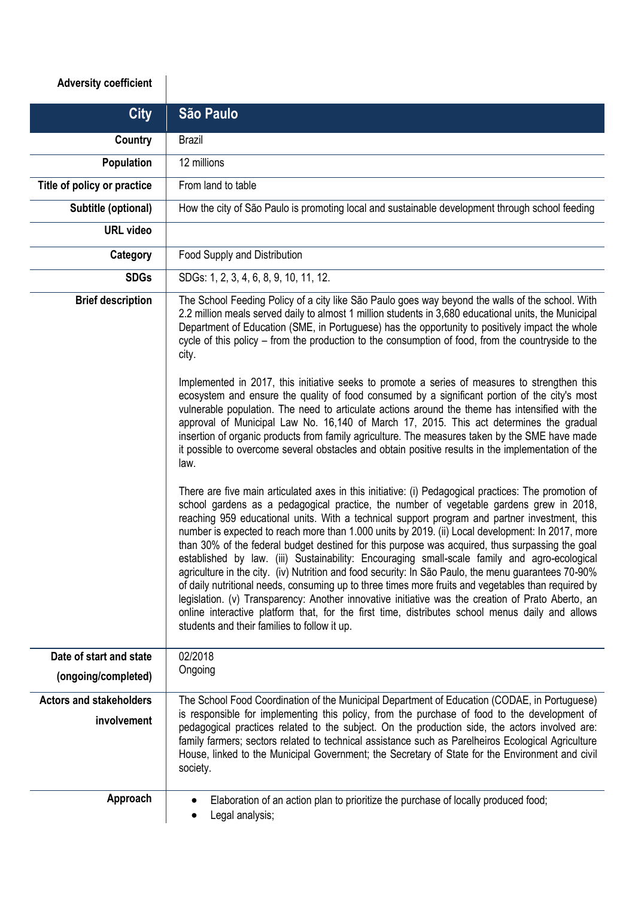## **Adversity coefficient**

| <b>City</b>                    | São Paulo                                                                                                                                                                                                                                                                                                                                                                                                                                                                                                                                                                                                                                                                                                                                                                                                                                                                                                                                                                                                                                                                     |
|--------------------------------|-------------------------------------------------------------------------------------------------------------------------------------------------------------------------------------------------------------------------------------------------------------------------------------------------------------------------------------------------------------------------------------------------------------------------------------------------------------------------------------------------------------------------------------------------------------------------------------------------------------------------------------------------------------------------------------------------------------------------------------------------------------------------------------------------------------------------------------------------------------------------------------------------------------------------------------------------------------------------------------------------------------------------------------------------------------------------------|
| Country                        | <b>Brazil</b>                                                                                                                                                                                                                                                                                                                                                                                                                                                                                                                                                                                                                                                                                                                                                                                                                                                                                                                                                                                                                                                                 |
| Population                     | 12 millions                                                                                                                                                                                                                                                                                                                                                                                                                                                                                                                                                                                                                                                                                                                                                                                                                                                                                                                                                                                                                                                                   |
| Title of policy or practice    | From land to table                                                                                                                                                                                                                                                                                                                                                                                                                                                                                                                                                                                                                                                                                                                                                                                                                                                                                                                                                                                                                                                            |
| Subtitle (optional)            | How the city of São Paulo is promoting local and sustainable development through school feeding                                                                                                                                                                                                                                                                                                                                                                                                                                                                                                                                                                                                                                                                                                                                                                                                                                                                                                                                                                               |
| <b>URL video</b>               |                                                                                                                                                                                                                                                                                                                                                                                                                                                                                                                                                                                                                                                                                                                                                                                                                                                                                                                                                                                                                                                                               |
| Category                       | Food Supply and Distribution                                                                                                                                                                                                                                                                                                                                                                                                                                                                                                                                                                                                                                                                                                                                                                                                                                                                                                                                                                                                                                                  |
| <b>SDGs</b>                    | SDGs: 1, 2, 3, 4, 6, 8, 9, 10, 11, 12.                                                                                                                                                                                                                                                                                                                                                                                                                                                                                                                                                                                                                                                                                                                                                                                                                                                                                                                                                                                                                                        |
| <b>Brief description</b>       | The School Feeding Policy of a city like São Paulo goes way beyond the walls of the school. With<br>2.2 million meals served daily to almost 1 million students in 3,680 educational units, the Municipal<br>Department of Education (SME, in Portuguese) has the opportunity to positively impact the whole<br>cycle of this policy – from the production to the consumption of food, from the countryside to the<br>city.                                                                                                                                                                                                                                                                                                                                                                                                                                                                                                                                                                                                                                                   |
|                                | Implemented in 2017, this initiative seeks to promote a series of measures to strengthen this<br>ecosystem and ensure the quality of food consumed by a significant portion of the city's most<br>vulnerable population. The need to articulate actions around the theme has intensified with the<br>approval of Municipal Law No. 16,140 of March 17, 2015. This act determines the gradual<br>insertion of organic products from family agriculture. The measures taken by the SME have made<br>it possible to overcome several obstacles and obtain positive results in the implementation of the<br>law.                                                                                                                                                                                                                                                                                                                                                                                                                                                                  |
|                                | There are five main articulated axes in this initiative: (i) Pedagogical practices: The promotion of<br>school gardens as a pedagogical practice, the number of vegetable gardens grew in 2018,<br>reaching 959 educational units. With a technical support program and partner investment, this<br>number is expected to reach more than 1.000 units by 2019. (ii) Local development: In 2017, more<br>than 30% of the federal budget destined for this purpose was acquired, thus surpassing the goal<br>established by law. (iii) Sustainability: Encouraging small-scale family and agro-ecological<br>agriculture in the city. (iv) Nutrition and food security: In São Paulo, the menu guarantees 70-90%<br>of daily nutritional needs, consuming up to three times more fruits and vegetables than required by<br>legislation. (v) Transparency: Another innovative initiative was the creation of Prato Aberto, an<br>online interactive platform that, for the first time, distributes school menus daily and allows<br>students and their families to follow it up. |
| Date of start and state        | 02/2018                                                                                                                                                                                                                                                                                                                                                                                                                                                                                                                                                                                                                                                                                                                                                                                                                                                                                                                                                                                                                                                                       |
| (ongoing/completed)            | Ongoing                                                                                                                                                                                                                                                                                                                                                                                                                                                                                                                                                                                                                                                                                                                                                                                                                                                                                                                                                                                                                                                                       |
| <b>Actors and stakeholders</b> | The School Food Coordination of the Municipal Department of Education (CODAE, in Portuguese)                                                                                                                                                                                                                                                                                                                                                                                                                                                                                                                                                                                                                                                                                                                                                                                                                                                                                                                                                                                  |
| involvement                    | is responsible for implementing this policy, from the purchase of food to the development of<br>pedagogical practices related to the subject. On the production side, the actors involved are:<br>family farmers; sectors related to technical assistance such as Parelheiros Ecological Agriculture<br>House, linked to the Municipal Government; the Secretary of State for the Environment and civil<br>society.                                                                                                                                                                                                                                                                                                                                                                                                                                                                                                                                                                                                                                                           |
| Approach                       | Elaboration of an action plan to prioritize the purchase of locally produced food;<br>٠<br>Legal analysis;<br>٠                                                                                                                                                                                                                                                                                                                                                                                                                                                                                                                                                                                                                                                                                                                                                                                                                                                                                                                                                               |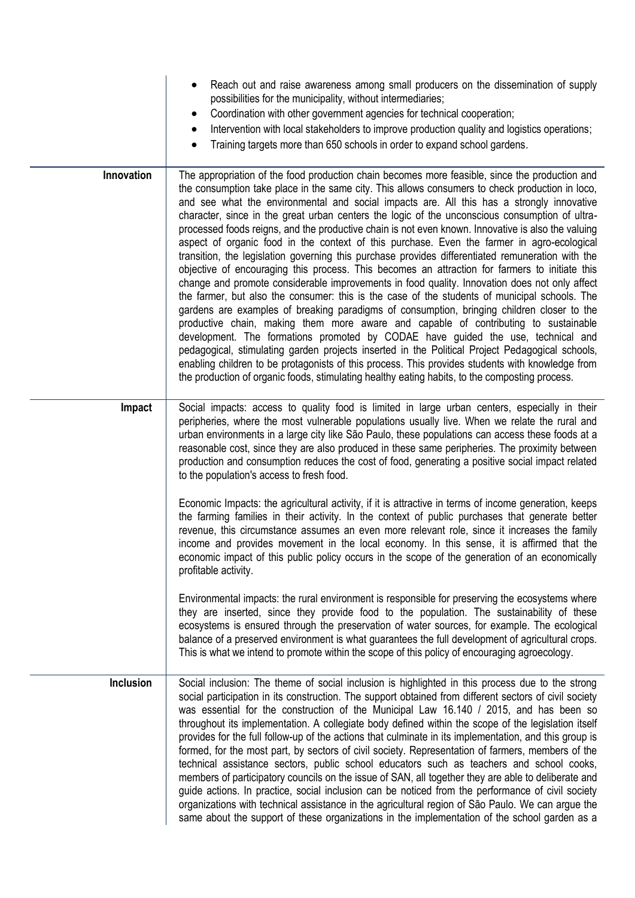|                  | Reach out and raise awareness among small producers on the dissemination of supply<br>possibilities for the municipality, without intermediaries;<br>Coordination with other government agencies for technical cooperation;<br>$\bullet$<br>Intervention with local stakeholders to improve production quality and logistics operations;<br>$\bullet$<br>Training targets more than 650 schools in order to expand school gardens.                                                                                                                                                                                                                                                                                                                                                                                                                                                                                                                                                                                                                                                                                                                                                                                                                                                                                                                                                                                                                                                                                                                                                              |
|------------------|-------------------------------------------------------------------------------------------------------------------------------------------------------------------------------------------------------------------------------------------------------------------------------------------------------------------------------------------------------------------------------------------------------------------------------------------------------------------------------------------------------------------------------------------------------------------------------------------------------------------------------------------------------------------------------------------------------------------------------------------------------------------------------------------------------------------------------------------------------------------------------------------------------------------------------------------------------------------------------------------------------------------------------------------------------------------------------------------------------------------------------------------------------------------------------------------------------------------------------------------------------------------------------------------------------------------------------------------------------------------------------------------------------------------------------------------------------------------------------------------------------------------------------------------------------------------------------------------------|
| Innovation       | The appropriation of the food production chain becomes more feasible, since the production and<br>the consumption take place in the same city. This allows consumers to check production in loco,<br>and see what the environmental and social impacts are. All this has a strongly innovative<br>character, since in the great urban centers the logic of the unconscious consumption of ultra-<br>processed foods reigns, and the productive chain is not even known. Innovative is also the valuing<br>aspect of organic food in the context of this purchase. Even the farmer in agro-ecological<br>transition, the legislation governing this purchase provides differentiated remuneration with the<br>objective of encouraging this process. This becomes an attraction for farmers to initiate this<br>change and promote considerable improvements in food quality. Innovation does not only affect<br>the farmer, but also the consumer: this is the case of the students of municipal schools. The<br>gardens are examples of breaking paradigms of consumption, bringing children closer to the<br>productive chain, making them more aware and capable of contributing to sustainable<br>development. The formations promoted by CODAE have guided the use, technical and<br>pedagogical, stimulating garden projects inserted in the Political Project Pedagogical schools,<br>enabling children to be protagonists of this process. This provides students with knowledge from<br>the production of organic foods, stimulating healthy eating habits, to the composting process. |
| Impact           | Social impacts: access to quality food is limited in large urban centers, especially in their<br>peripheries, where the most vulnerable populations usually live. When we relate the rural and<br>urban environments in a large city like São Paulo, these populations can access these foods at a<br>reasonable cost, since they are also produced in these same peripheries. The proximity between<br>production and consumption reduces the cost of food, generating a positive social impact related<br>to the population's access to fresh food.                                                                                                                                                                                                                                                                                                                                                                                                                                                                                                                                                                                                                                                                                                                                                                                                                                                                                                                                                                                                                                           |
|                  | Economic Impacts: the agricultural activity, if it is attractive in terms of income generation, keeps<br>the farming families in their activity. In the context of public purchases that generate better<br>revenue, this circumstance assumes an even more relevant role, since it increases the family<br>income and provides movement in the local economy. In this sense, it is affirmed that the<br>economic impact of this public policy occurs in the scope of the generation of an economically<br>profitable activity.                                                                                                                                                                                                                                                                                                                                                                                                                                                                                                                                                                                                                                                                                                                                                                                                                                                                                                                                                                                                                                                                 |
|                  | Environmental impacts: the rural environment is responsible for preserving the ecosystems where<br>they are inserted, since they provide food to the population. The sustainability of these<br>ecosystems is ensured through the preservation of water sources, for example. The ecological<br>balance of a preserved environment is what guarantees the full development of agricultural crops.<br>This is what we intend to promote within the scope of this policy of encouraging agroecology.                                                                                                                                                                                                                                                                                                                                                                                                                                                                                                                                                                                                                                                                                                                                                                                                                                                                                                                                                                                                                                                                                              |
| <b>Inclusion</b> | Social inclusion: The theme of social inclusion is highlighted in this process due to the strong<br>social participation in its construction. The support obtained from different sectors of civil society<br>was essential for the construction of the Municipal Law 16.140 / 2015, and has been so<br>throughout its implementation. A collegiate body defined within the scope of the legislation itself<br>provides for the full follow-up of the actions that culminate in its implementation, and this group is<br>formed, for the most part, by sectors of civil society. Representation of farmers, members of the<br>technical assistance sectors, public school educators such as teachers and school cooks,<br>members of participatory councils on the issue of SAN, all together they are able to deliberate and<br>guide actions. In practice, social inclusion can be noticed from the performance of civil society<br>organizations with technical assistance in the agricultural region of São Paulo. We can argue the<br>same about the support of these organizations in the implementation of the school garden as a                                                                                                                                                                                                                                                                                                                                                                                                                                                        |